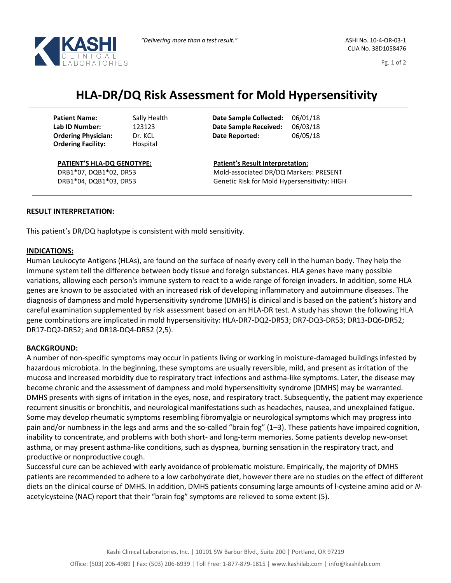

CLIA No. 38D1058476

Pg. 1 of 2

# **HLA-DR/DQ Risk Assessment for Mold Hypersensitivity**

Dr. KCL Hospital

Sally Health **Date Sample Collected:** 06/01/18 **Lab ID Number:** 123123 **Date Sample Received:** 06/03/18 **Date Reported:** 06/05/18

**PATIENT'S HLA-DQ GENOTYPE:**

DRB1\*07, DQB1\*02, DR53 DRB1\*04, DQB1\*03, DR53 **Patient's Result Interpretation:** Mold-associated DR/DQ Markers: PRESENT Genetic Risk for Mold Hypersensitivity: HIGH

## **RESULT INTERPRETATION:**

This patient's DR/DQ haplotype is consistent with mold sensitivity.

#### **INDICATIONS:**

Human Leukocyte Antigens (HLAs), are found on the surface of nearly every cell in the human body. They help the immune system tell the difference between body tissue and foreign substances. HLA genes have many possible variations, allowing each person's immune system to react to a wide range of foreign invaders. In addition, some HLA genes are known to be associated with an increased risk of developing inflammatory and autoimmune diseases. The diagnosis of dampness and mold hypersensitivity syndrome (DMHS) is clinical and is based on the patient's history and careful examination supplemented by risk assessment based on an HLA-DR test. A study has shown the following HLA gene combinations are implicated in mold hypersensitivity: HLA-DR7-DQ2-DR53; DR7-DQ3-DR53; DR13-DQ6-DR52; DR17-DQ2-DR52; and DR18-DQ4-DR52 (2,5).

### **BACKGROUND:**

A number of non-specific symptoms may occur in patients living or working in moisture-damaged buildings infested by hazardous microbiota. In the beginning, these symptoms are usually reversible, mild, and present as irritation of the mucosa and increased morbidity due to respiratory tract infections and asthma-like symptoms. Later, the disease may become chronic and the assessment of dampness and mold hypersensitivity syndrome (DMHS) may be warranted. DMHS presents with signs of irritation in the eyes, nose, and respiratory tract. Subsequently, the patient may experience recurrent sinusitis or bronchitis, and neurological manifestations such as headaches, nausea, and unexplained fatigue. Some may develop rheumatic symptoms resembling fibromyalgia or neurological symptoms which may progress into pain and/or numbness in the legs and arms and the so-called "brain fog" (1–3). These patients have impaired cognition, inability to concentrate, and problems with both short- and long-term memories. Some patients develop new-onset asthma, or may present asthma-like conditions, such as dyspnea, burning sensation in the respiratory tract, and productive or nonproductive cough.

Successful cure can be achieved with early avoidance of problematic moisture. Empirically, the majority of DMHS patients are recommended to adhere to a low carbohydrate diet, however there are no studies on the effect of different diets on the clinical course of DMHS. In addition, DMHS patients consuming large amounts of l-cysteine amino acid or *N*acetylcysteine (NAC) report that their "brain fog" symptoms are relieved to some extent (5).